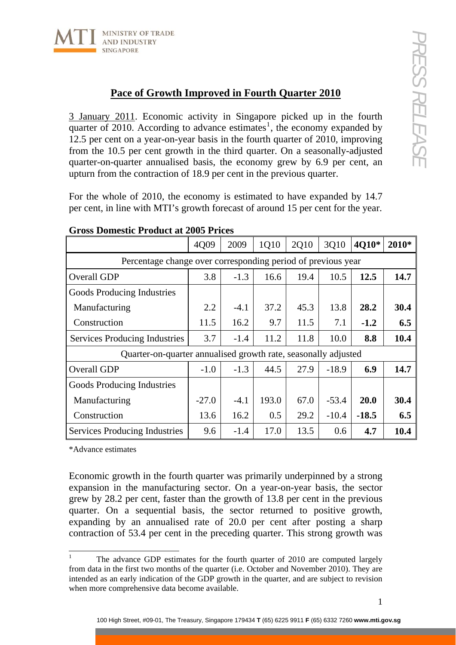

## **Pace of Growth Improved in Fourth Quarter 2010**

3 January 2011. Economic activity in Singapore picked up in the fourth quarter of 20[1](#page-0-0)0. According to advance estimates<sup>1</sup>, the economy expanded by 12.5 per cent on a year-on-year basis in the fourth quarter of 2010, improving from the 10.5 per cent growth in the third quarter. On a seasonally-adjusted quarter-on-quarter annualised basis, the economy grew by 6.9 per cent, an upturn from the contraction of 18.9 per cent in the previous quarter.

For the whole of 2010, the economy is estimated to have expanded by 14.7 per cent, in line with MTI's growth forecast of around 15 per cent for the year.

|                                                                | 4Q09    | 2009   | 1Q10  | 2Q10 | 3Q10    | 4Q10*   | 2010* |
|----------------------------------------------------------------|---------|--------|-------|------|---------|---------|-------|
| Percentage change over corresponding period of previous year   |         |        |       |      |         |         |       |
| Overall GDP                                                    | 3.8     | $-1.3$ | 16.6  | 19.4 | 10.5    | 12.5    | 14.7  |
| Goods Producing Industries                                     |         |        |       |      |         |         |       |
| Manufacturing                                                  | 2.2     | $-4.1$ | 37.2  | 45.3 | 13.8    | 28.2    | 30.4  |
| Construction                                                   | 11.5    | 16.2   | 9.7   | 11.5 | 7.1     | $-1.2$  | 6.5   |
| Services Producing Industries                                  | 3.7     | $-1.4$ | 11.2  | 11.8 | 10.0    | 8.8     | 10.4  |
| Quarter-on-quarter annualised growth rate, seasonally adjusted |         |        |       |      |         |         |       |
| Overall GDP                                                    | $-1.0$  | $-1.3$ | 44.5  | 27.9 | $-18.9$ | 6.9     | 14.7  |
| Goods Producing Industries                                     |         |        |       |      |         |         |       |
| Manufacturing                                                  | $-27.0$ | $-4.1$ | 193.0 | 67.0 | $-53.4$ | 20.0    | 30.4  |
| Construction                                                   | 13.6    | 16.2   | 0.5   | 29.2 | $-10.4$ | $-18.5$ | 6.5   |
| <b>Services Producing Industries</b>                           | 9.6     | $-1.4$ | 17.0  | 13.5 | 0.6     | 4.7     | 10.4  |

## **Gross Domestic Product at 2005 Prices**

\*Advance estimates

Economic growth in the fourth quarter was primarily underpinned by a strong expansion in the manufacturing sector. On a year-on-year basis, the sector grew by 28.2 per cent, faster than the growth of 13.8 per cent in the previous quarter. On a sequential basis, the sector returned to positive growth, expanding by an annualised rate of 20.0 per cent after posting a sharp contraction of 53.4 per cent in the preceding quarter. This strong growth was

<span id="page-0-0"></span> $\frac{1}{1}$  The advance GDP estimates for the fourth quarter of 2010 are computed largely from data in the first two months of the quarter (i.e. October and November 2010). They are intended as an early indication of the GDP growth in the quarter, and are subject to revision when more comprehensive data become available.